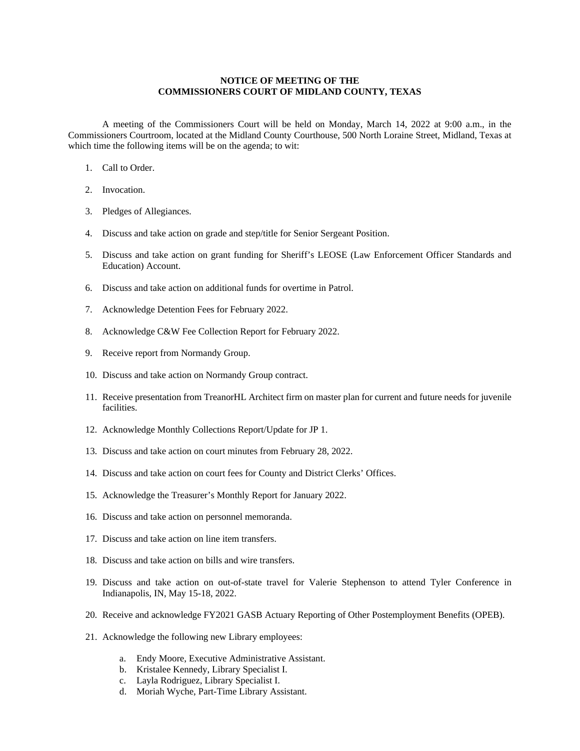## **NOTICE OF MEETING OF THE COMMISSIONERS COURT OF MIDLAND COUNTY, TEXAS**

A meeting of the Commissioners Court will be held on Monday, March 14, 2022 at 9:00 a.m., in the Commissioners Courtroom, located at the Midland County Courthouse, 500 North Loraine Street, Midland, Texas at which time the following items will be on the agenda; to wit:

- 1. Call to Order.
- 2. Invocation.
- 3. Pledges of Allegiances.
- 4. Discuss and take action on grade and step/title for Senior Sergeant Position.
- 5. Discuss and take action on grant funding for Sheriff's LEOSE (Law Enforcement Officer Standards and Education) Account.
- 6. Discuss and take action on additional funds for overtime in Patrol.
- 7. Acknowledge Detention Fees for February 2022.
- 8. Acknowledge C&W Fee Collection Report for February 2022.
- 9. Receive report from Normandy Group.
- 10. Discuss and take action on Normandy Group contract.
- 11. Receive presentation from TreanorHL Architect firm on master plan for current and future needs for juvenile facilities.
- 12. Acknowledge Monthly Collections Report/Update for JP 1.
- 13. Discuss and take action on court minutes from February 28, 2022.
- 14. Discuss and take action on court fees for County and District Clerks' Offices.
- 15. Acknowledge the Treasurer's Monthly Report for January 2022.
- 16. Discuss and take action on personnel memoranda.
- 17. Discuss and take action on line item transfers.
- 18. Discuss and take action on bills and wire transfers.
- 19. Discuss and take action on out-of-state travel for Valerie Stephenson to attend Tyler Conference in Indianapolis, IN, May 15-18, 2022.
- 20. Receive and acknowledge FY2021 GASB Actuary Reporting of Other Postemployment Benefits (OPEB).
- 21. Acknowledge the following new Library employees:
	- a. Endy Moore, Executive Administrative Assistant.
	- b. Kristalee Kennedy, Library Specialist I.
	- c. Layla Rodriguez, Library Specialist I.
	- d. Moriah Wyche, Part-Time Library Assistant.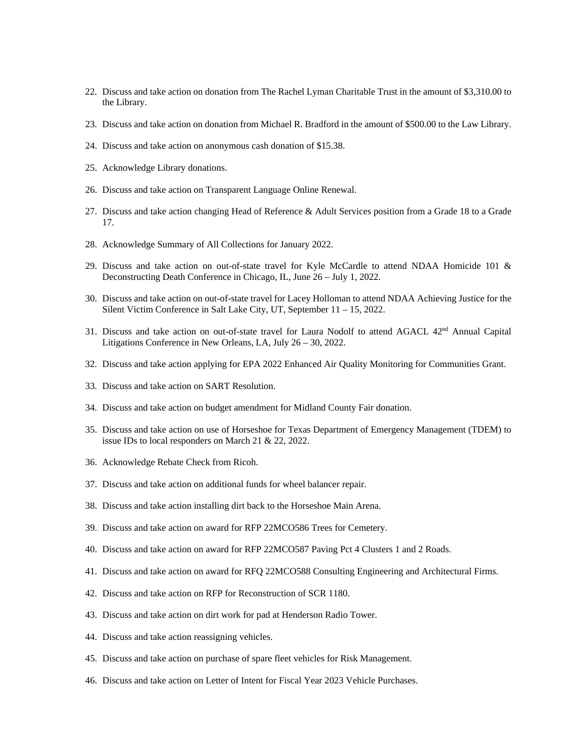- 22. Discuss and take action on donation from The Rachel Lyman Charitable Trust in the amount of \$3,310.00 to the Library.
- 23. Discuss and take action on donation from Michael R. Bradford in the amount of \$500.00 to the Law Library.
- 24. Discuss and take action on anonymous cash donation of \$15.38.
- 25. Acknowledge Library donations.
- 26. Discuss and take action on Transparent Language Online Renewal.
- 27. Discuss and take action changing Head of Reference & Adult Services position from a Grade 18 to a Grade 17.
- 28. Acknowledge Summary of All Collections for January 2022.
- 29. Discuss and take action on out-of-state travel for Kyle McCardle to attend NDAA Homicide 101 & Deconstructing Death Conference in Chicago, IL, June 26 – July 1, 2022.
- 30. Discuss and take action on out-of-state travel for Lacey Holloman to attend NDAA Achieving Justice for the Silent Victim Conference in Salt Lake City, UT, September 11 – 15, 2022.
- 31. Discuss and take action on out-of-state travel for Laura Nodolf to attend AGACL 42nd Annual Capital Litigations Conference in New Orleans, LA, July 26 – 30, 2022.
- 32. Discuss and take action applying for EPA 2022 Enhanced Air Quality Monitoring for Communities Grant.
- 33. Discuss and take action on SART Resolution.
- 34. Discuss and take action on budget amendment for Midland County Fair donation.
- 35. Discuss and take action on use of Horseshoe for Texas Department of Emergency Management (TDEM) to issue IDs to local responders on March 21 & 22, 2022.
- 36. Acknowledge Rebate Check from Ricoh.
- 37. Discuss and take action on additional funds for wheel balancer repair.
- 38. Discuss and take action installing dirt back to the Horseshoe Main Arena.
- 39. Discuss and take action on award for RFP 22MCO586 Trees for Cemetery.
- 40. Discuss and take action on award for RFP 22MCO587 Paving Pct 4 Clusters 1 and 2 Roads.
- 41. Discuss and take action on award for RFQ 22MCO588 Consulting Engineering and Architectural Firms.
- 42. Discuss and take action on RFP for Reconstruction of SCR 1180.
- 43. Discuss and take action on dirt work for pad at Henderson Radio Tower.
- 44. Discuss and take action reassigning vehicles.
- 45. Discuss and take action on purchase of spare fleet vehicles for Risk Management.
- 46. Discuss and take action on Letter of Intent for Fiscal Year 2023 Vehicle Purchases.